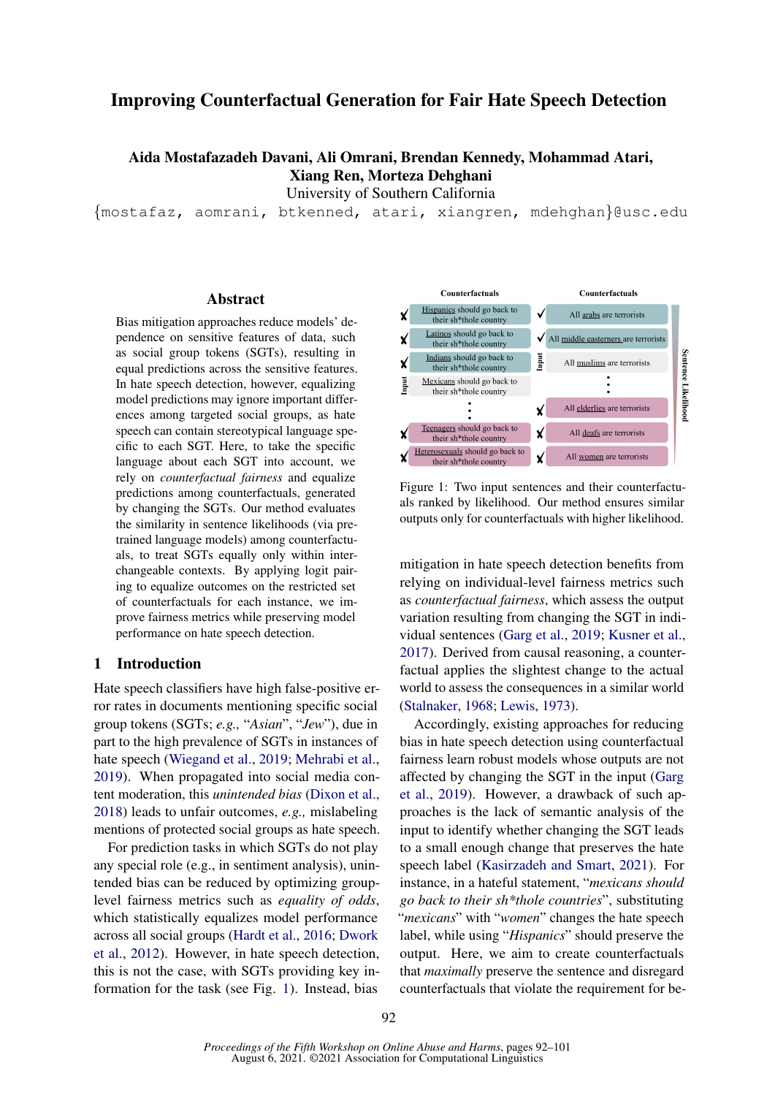# Improving Counterfactual Generation for Fair Hate Speech Detection

Aida Mostafazadeh Davani, Ali Omrani, Brendan Kennedy, Mohammad Atari, Xiang Ren, Morteza Dehghani

University of Southern California

{mostafaz, aomrani, btkenned, atari, xiangren, mdehghan}@usc.edu

## Abstract

Bias mitigation approaches reduce models' dependence on sensitive features of data, such as social group tokens (SGTs), resulting in equal predictions across the sensitive features. In hate speech detection, however, equalizing model predictions may ignore important differences among targeted social groups, as hate speech can contain stereotypical language specific to each SGT. Here, to take the specific language about each SGT into account, we rely on *counterfactual fairness* and equalize predictions among counterfactuals, generated by changing the SGTs. Our method evaluates the similarity in sentence likelihoods (via pretrained language models) among counterfactuals, to treat SGTs equally only within interchangeable contexts. By applying logit pairing to equalize outcomes on the restricted set of counterfactuals for each instance, we improve fairness metrics while preserving model performance on hate speech detection.

## 1 Introduction

Hate speech classifiers have high false-positive error rates in documents mentioning specific social group tokens (SGTs; *e.g.,* "*Asian*", "*Jew*"), due in part to the high prevalence of SGTs in instances of hate speech [\(Wiegand et al.,](#page-5-0) [2019;](#page-5-0) [Mehrabi et al.,](#page-5-1) [2019\)](#page-5-1). When propagated into social media content moderation, this *unintended bias* [\(Dixon et al.,](#page-4-0) [2018\)](#page-4-0) leads to unfair outcomes, *e.g.,* mislabeling mentions of protected social groups as hate speech.

For prediction tasks in which SGTs do not play any special role (e.g., in sentiment analysis), unintended bias can be reduced by optimizing grouplevel fairness metrics such as *equality of odds*, which statistically equalizes model performance across all social groups [\(Hardt et al.,](#page-5-2) [2016;](#page-5-2) [Dwork](#page-4-1) [et al.,](#page-4-1) [2012\)](#page-4-1). However, in hate speech detection, this is not the case, with SGTs providing key information for the task (see Fig. [1\)](#page-0-0). Instead, bias

<span id="page-0-0"></span>

Figure 1: Two input sentences and their counterfactuals ranked by likelihood. Our method ensures similar outputs only for counterfactuals with higher likelihood.

mitigation in hate speech detection benefits from relying on individual-level fairness metrics such as *counterfactual fairness*, which assess the output variation resulting from changing the SGT in individual sentences [\(Garg et al.,](#page-4-2) [2019;](#page-4-2) [Kusner et al.,](#page-5-3) [2017\)](#page-5-3). Derived from causal reasoning, a counterfactual applies the slightest change to the actual world to assess the consequences in a similar world [\(Stalnaker,](#page-5-4) [1968;](#page-5-4) [Lewis,](#page-5-5) [1973\)](#page-5-5).

Accordingly, existing approaches for reducing bias in hate speech detection using counterfactual fairness learn robust models whose outputs are not affected by changing the SGT in the input [\(Garg](#page-4-2) [et al.,](#page-4-2) [2019\)](#page-4-2). However, a drawback of such approaches is the lack of semantic analysis of the input to identify whether changing the SGT leads to a small enough change that preserves the hate speech label [\(Kasirzadeh and Smart,](#page-5-6) [2021\)](#page-5-6). For instance, in a hateful statement, "*mexicans should go back to their sh\*thole countries*", substituting "*mexicans*" with "*women*" changes the hate speech label, while using "*Hispanics*" should preserve the output. Here, we aim to create counterfactuals that *maximally* preserve the sentence and disregard counterfactuals that violate the requirement for be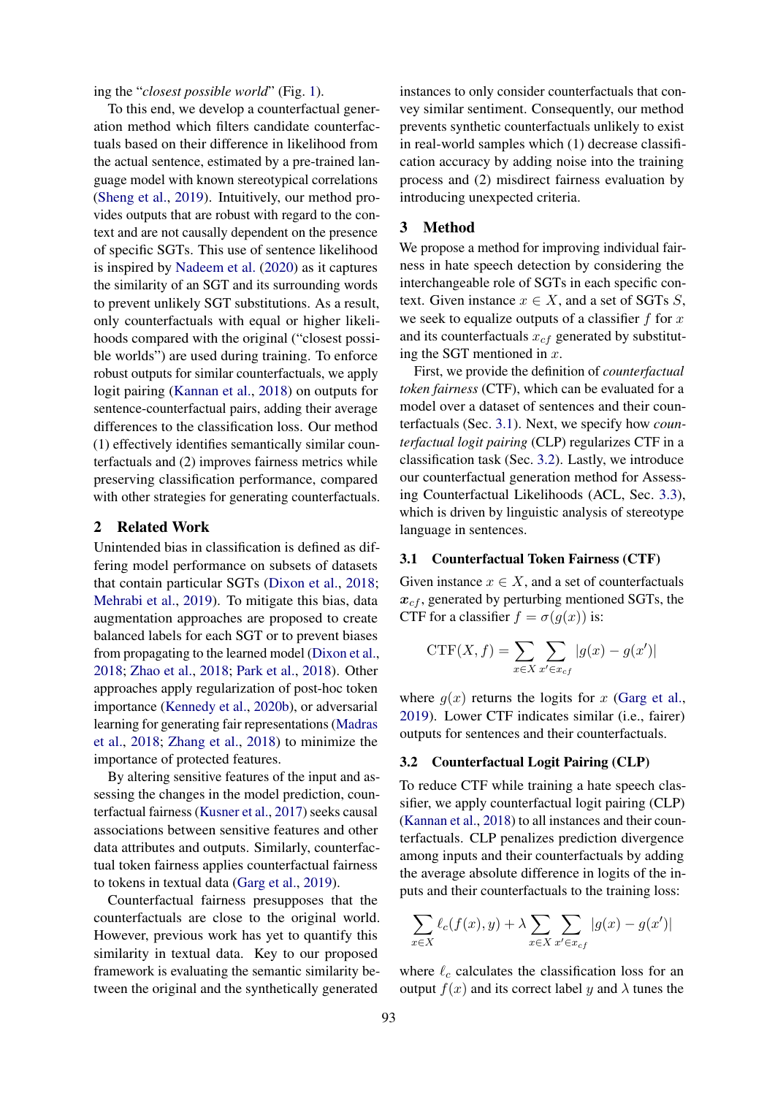ing the "*closest possible world*" (Fig. [1\)](#page-0-0).

To this end, we develop a counterfactual generation method which filters candidate counterfactuals based on their difference in likelihood from the actual sentence, estimated by a pre-trained language model with known stereotypical correlations [\(Sheng et al.,](#page-5-7) [2019\)](#page-5-7). Intuitively, our method provides outputs that are robust with regard to the context and are not causally dependent on the presence of specific SGTs. This use of sentence likelihood is inspired by [Nadeem et al.](#page-5-8) [\(2020\)](#page-5-8) as it captures the similarity of an SGT and its surrounding words to prevent unlikely SGT substitutions. As a result, only counterfactuals with equal or higher likelihoods compared with the original ("closest possible worlds") are used during training. To enforce robust outputs for similar counterfactuals, we apply logit pairing [\(Kannan et al.,](#page-5-9) [2018\)](#page-5-9) on outputs for sentence-counterfactual pairs, adding their average differences to the classification loss. Our method (1) effectively identifies semantically similar counterfactuals and (2) improves fairness metrics while preserving classification performance, compared with other strategies for generating counterfactuals.

## 2 Related Work

Unintended bias in classification is defined as differing model performance on subsets of datasets that contain particular SGTs [\(Dixon et al.,](#page-4-0) [2018;](#page-4-0) [Mehrabi et al.,](#page-5-1) [2019\)](#page-5-1). To mitigate this bias, data augmentation approaches are proposed to create balanced labels for each SGT or to prevent biases from propagating to the learned model [\(Dixon et al.,](#page-4-0) [2018;](#page-4-0) [Zhao et al.,](#page-5-10) [2018;](#page-5-10) [Park et al.,](#page-5-11) [2018\)](#page-5-11). Other approaches apply regularization of post-hoc token importance [\(Kennedy et al.,](#page-5-12) [2020b\)](#page-5-12), or adversarial learning for generating fair representations [\(Madras](#page-5-13) [et al.,](#page-5-13) [2018;](#page-5-13) [Zhang et al.,](#page-5-14) [2018\)](#page-5-14) to minimize the importance of protected features.

By altering sensitive features of the input and assessing the changes in the model prediction, counterfactual fairness [\(Kusner et al.,](#page-5-3) [2017\)](#page-5-3) seeks causal associations between sensitive features and other data attributes and outputs. Similarly, counterfactual token fairness applies counterfactual fairness to tokens in textual data [\(Garg et al.,](#page-4-2) [2019\)](#page-4-2).

Counterfactual fairness presupposes that the counterfactuals are close to the original world. However, previous work has yet to quantify this similarity in textual data. Key to our proposed framework is evaluating the semantic similarity between the original and the synthetically generated

instances to only consider counterfactuals that convey similar sentiment. Consequently, our method prevents synthetic counterfactuals unlikely to exist in real-world samples which (1) decrease classification accuracy by adding noise into the training process and (2) misdirect fairness evaluation by introducing unexpected criteria.

## 3 Method

We propose a method for improving individual fairness in hate speech detection by considering the interchangeable role of SGTs in each specific context. Given instance  $x \in X$ , and a set of SGTs S, we seek to equalize outputs of a classifier  $f$  for  $x$ and its counterfactuals  $x_{cf}$  generated by substituting the SGT mentioned in  $x$ .

First, we provide the definition of *counterfactual token fairness* (CTF), which can be evaluated for a model over a dataset of sentences and their counterfactuals (Sec. [3.1\)](#page-1-0). Next, we specify how *counterfactual logit pairing* (CLP) regularizes CTF in a classification task (Sec. [3.2\)](#page-1-1). Lastly, we introduce our counterfactual generation method for Assessing Counterfactual Likelihoods (ACL, Sec. [3.3\)](#page-2-0), which is driven by linguistic analysis of stereotype language in sentences.

#### <span id="page-1-0"></span>3.1 Counterfactual Token Fairness (CTF)

Given instance  $x \in X$ , and a set of counterfactuals  $x_{cf}$ , generated by perturbing mentioned SGTs, the CTF for a classifier  $f = \sigma(g(x))$  is:

$$
CTF(X, f) = \sum_{x \in X} \sum_{x' \in x_{cf}} |g(x) - g(x')|
$$

where  $g(x)$  returns the logits for x [\(Garg et al.,](#page-4-2) [2019\)](#page-4-2). Lower CTF indicates similar (i.e., fairer) outputs for sentences and their counterfactuals.

## <span id="page-1-1"></span>3.2 Counterfactual Logit Pairing (CLP)

To reduce CTF while training a hate speech classifier, we apply counterfactual logit pairing (CLP) [\(Kannan et al.,](#page-5-9) [2018\)](#page-5-9) to all instances and their counterfactuals. CLP penalizes prediction divergence among inputs and their counterfactuals by adding the average absolute difference in logits of the inputs and their counterfactuals to the training loss:

$$
\sum_{x \in X} \ell_c(f(x), y) + \lambda \sum_{x \in X} \sum_{x' \in x_{cf}} |g(x) - g(x')|
$$

where  $\ell_c$  calculates the classification loss for an output  $f(x)$  and its correct label y and  $\lambda$  tunes the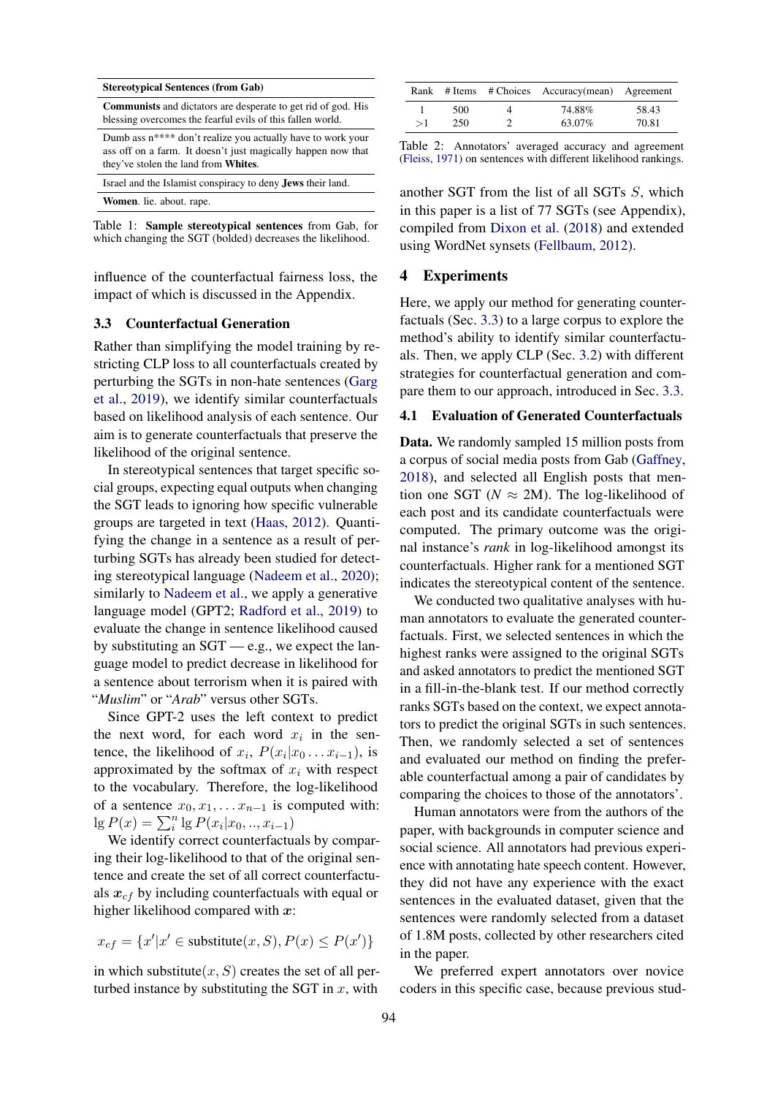<span id="page-2-1"></span>

| <b>Stereotypical Sentences (from Gab)</b>                                                                                                                                               |  |  |  |  |
|-----------------------------------------------------------------------------------------------------------------------------------------------------------------------------------------|--|--|--|--|
| <b>Communists</b> and dictators are desperate to get rid of god. His<br>blessing overcomes the fearful evils of this fallen world.                                                      |  |  |  |  |
| Dumb ass n <sup>****</sup> don't realize you actually have to work your<br>ass off on a farm. It doesn't just magically happen now that<br>they've stolen the land from <b>Whites</b> . |  |  |  |  |
| Israel and the Islamist conspiracy to deny <b>Jews</b> their land.                                                                                                                      |  |  |  |  |
| <b>Women</b> . lie. about. rape.                                                                                                                                                        |  |  |  |  |

Table 1: Sample stereotypical sentences from Gab, for which changing the SGT (bolded) decreases the likelihood.

influence of the counterfactual fairness loss, the impact of which is discussed in the Appendix.

## <span id="page-2-0"></span>3.3 Counterfactual Generation

Rather than simplifying the model training by restricting CLP loss to all counterfactuals created by perturbing the SGTs in non-hate sentences [\(Garg](#page-4-2) [et al.,](#page-4-2) [2019\)](#page-4-2), we identify similar counterfactuals based on likelihood analysis of each sentence. Our aim is to generate counterfactuals that preserve the likelihood of the original sentence.

In stereotypical sentences that target specific social groups, expecting equal outputs when changing the SGT leads to ignoring how specific vulnerable groups are targeted in text [\(Haas,](#page-5-15) [2012\)](#page-5-15). Quantifying the change in a sentence as a result of perturbing SGTs has already been studied for detecting stereotypical language [\(Nadeem et al.,](#page-5-8) [2020\)](#page-5-8); similarly to [Nadeem et al.,](#page-5-8) we apply a generative language model (GPT2; [Radford et al.,](#page-5-16) [2019\)](#page-5-16) to evaluate the change in sentence likelihood caused by substituting an SGT — e.g., we expect the language model to predict decrease in likelihood for a sentence about terrorism when it is paired with "*Muslim*" or "*Arab*" versus other SGTs.

Since GPT-2 uses the left context to predict the next word, for each word  $x_i$  in the sentence, the likelihood of  $x_i$ ,  $P(x_i|x_0 \dots x_{i-1})$ , is approximated by the softmax of  $x_i$  with respect to the vocabulary. Therefore, the log-likelihood of a sentence  $x_0, x_1, \ldots x_{n-1}$  is computed with:  $\lg P(x) = \sum_{i}^{n} \lg P(x_i | x_0, \ldots, x_{i-1})$ 

We identify correct counterfactuals by comparing their log-likelihood to that of the original sentence and create the set of all correct counterfactuals  $x_{cf}$  by including counterfactuals with equal or higher likelihood compared with  $x$ :

$$
x_{cf} = \{x'|x' \in \text{substitute}(x, S), P(x) \le P(x')\}
$$

in which substitute $(x, S)$  creates the set of all perturbed instance by substituting the SGT in  $x$ , with

<span id="page-2-2"></span>

|    |     | Rank # Items # Choices Accuracy(mean) Agreement |       |
|----|-----|-------------------------------------------------|-------|
|    | 500 | 74.88%                                          | 58.43 |
| >1 | 250 | 63.07%                                          | 70.81 |

Table 2: Annotators' averaged accuracy and agreement [\(Fleiss,](#page-4-3) [1971\)](#page-4-3) on sentences with different likelihood rankings.

another SGT from the list of all SGTs S, which in this paper is a list of 77 SGTs (see Appendix), compiled from [Dixon et al.](#page-4-0) [\(2018\)](#page-4-0) and extended using WordNet synsets [\(Fellbaum,](#page-4-4) [2012\)](#page-4-4).

## 4 Experiments

Here, we apply our method for generating counterfactuals (Sec. [3.3\)](#page-2-0) to a large corpus to explore the method's ability to identify similar counterfactuals. Then, we apply CLP (Sec. [3.2\)](#page-1-1) with different strategies for counterfactual generation and compare them to our approach, introduced in Sec. [3.3.](#page-2-0)

#### <span id="page-2-3"></span>4.1 Evaluation of Generated Counterfactuals

Data. We randomly sampled 15 million posts from a corpus of social media posts from Gab [\(Gaffney,](#page-4-5) [2018\)](#page-4-5), and selected all English posts that mention one SGT ( $N \approx 2M$ ). The log-likelihood of each post and its candidate counterfactuals were computed. The primary outcome was the original instance's *rank* in log-likelihood amongst its counterfactuals. Higher rank for a mentioned SGT indicates the stereotypical content of the sentence.

We conducted two qualitative analyses with human annotators to evaluate the generated counterfactuals. First, we selected sentences in which the highest ranks were assigned to the original SGTs and asked annotators to predict the mentioned SGT in a fill-in-the-blank test. If our method correctly ranks SGTs based on the context, we expect annotators to predict the original SGTs in such sentences. Then, we randomly selected a set of sentences and evaluated our method on finding the preferable counterfactual among a pair of candidates by comparing the choices to those of the annotators'.

Human annotators were from the authors of the paper, with backgrounds in computer science and social science. All annotators had previous experience with annotating hate speech content. However, they did not have any experience with the exact sentences in the evaluated dataset, given that the sentences were randomly selected from a dataset of 1.8M posts, collected by other researchers cited in the paper.

We preferred expert annotators over novice coders in this specific case, because previous stud-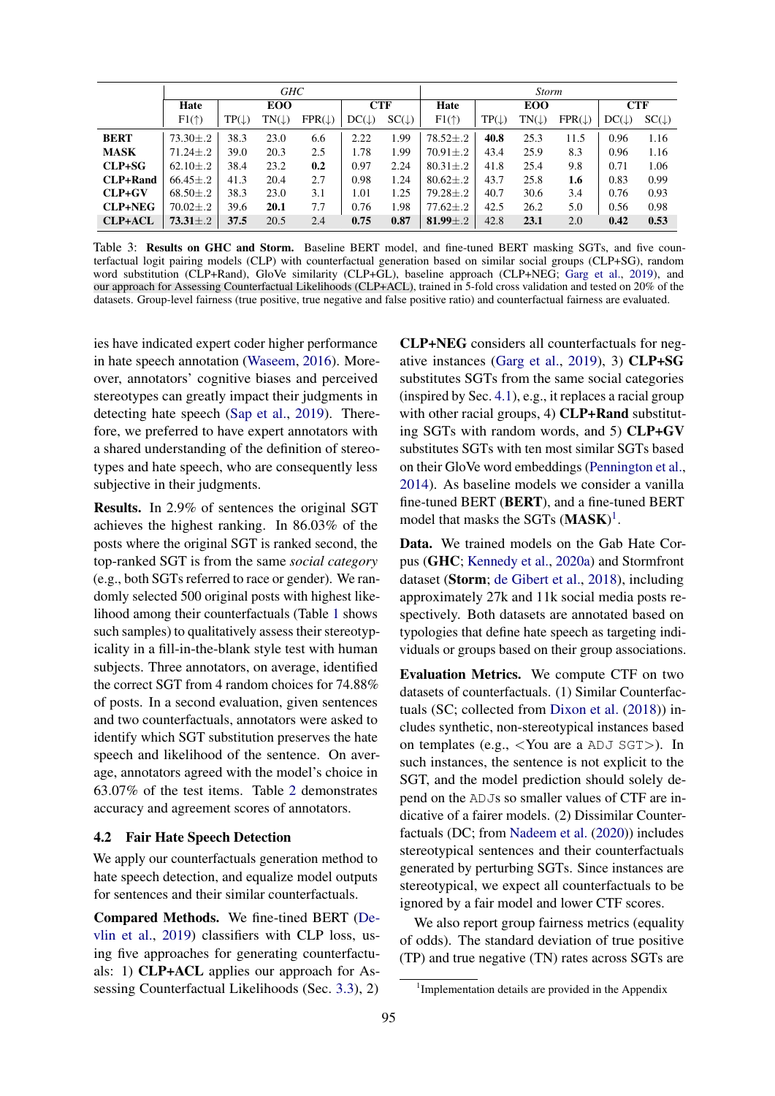<span id="page-3-1"></span>

|                 | GHC            |                  |                  |                   | <b>Storm</b>     |                  |                  |                  |                  |                   |                  |                  |
|-----------------|----------------|------------------|------------------|-------------------|------------------|------------------|------------------|------------------|------------------|-------------------|------------------|------------------|
|                 | Hate           | <b>EOO</b>       |                  | <b>CTF</b>        |                  | Hate             | <b>EOO</b>       |                  | <b>CTF</b>       |                   |                  |                  |
|                 | $F1(\uparrow)$ | $TP(\downarrow)$ | $TN(\downarrow)$ | $FPR(\downarrow)$ | $DC(\downarrow)$ | $SC(\downarrow)$ | $F1(\uparrow)$   | $TP(\downarrow)$ | $TN(\downarrow)$ | $FPR(\downarrow)$ | $DC(\downarrow)$ | $SC(\downarrow)$ |
| <b>BERT</b>     | $73.30 \pm .2$ | 38.3             | 23.0             | 6.6               | 2.22             | 1.99             | $78.52 \pm .2$   | 40.8             | 25.3             | 11.5              | 0.96             | 1.16             |
| <b>MASK</b>     | $71.24 \pm .2$ | 39.0             | 20.3             | 2.5               | 1.78             | 1.99             | $70.91 \pm .2$   | 43.4             | 25.9             | 8.3               | 0.96             | 1.16             |
| $CLP+SG$        | $62.10 \pm .2$ | 38.4             | 23.2             | 0.2               | 0.97             | 2.24             | $80.31 \pm .2$   | 41.8             | 25.4             | 9.8               | 0.71             | 1.06             |
| <b>CLP+Rand</b> | $66.45 \pm .2$ | 41.3             | 20.4             | 2.7               | 0.98             | 1.24             | $80.62 \pm .2$   | 43.7             | 25.8             | 1.6               | 0.83             | 0.99             |
| $CLP+GV$        | $68.50 \pm .2$ | 38.3             | 23.0             | 3.1               | 1.01             | 1.25             | $79.28 \pm .2$   | 40.7             | 30.6             | 3.4               | 0.76             | 0.93             |
| <b>CLP+NEG</b>  | $70.02 \pm .2$ | 39.6             | 20.1             | 7.7               | 0.76             | 1.98             | $77.62 {\pm} .2$ | 42.5             | 26.2             | 5.0               | 0.56             | 0.98             |
| <b>CLP+ACL</b>  | $73.31 \pm .2$ | 37.5             | 20.5             | 2.4               | 0.75             | 0.87             | 81.99 $\pm .2$   | 42.8             | 23.1             | 2.0               | 0.42             | 0.53             |

Table 3: Results on GHC and Storm. Baseline BERT model, and fine-tuned BERT masking SGTs, and five counterfactual logit pairing models (CLP) with counterfactual generation based on similar social groups (CLP+SG), random word substitution (CLP+Rand), GloVe similarity (CLP+GL), baseline approach (CLP+NEG; [Garg et al.,](#page-4-2) [2019\)](#page-4-2), and our approach for Assessing Counterfactual Likelihoods (CLP+ACL), trained in 5-fold cross validation and tested on 20% of the datasets. Group-level fairness (true positive, true negative and false positive ratio) and counterfactual fairness are evaluated.

ies have indicated expert coder higher performance in hate speech annotation [\(Waseem,](#page-5-17) [2016\)](#page-5-17). Moreover, annotators' cognitive biases and perceived stereotypes can greatly impact their judgments in detecting hate speech [\(Sap et al.,](#page-5-18) [2019\)](#page-5-18). Therefore, we preferred to have expert annotators with a shared understanding of the definition of stereotypes and hate speech, who are consequently less subjective in their judgments.

Results. In 2.9% of sentences the original SGT achieves the highest ranking. In 86.03% of the posts where the original SGT is ranked second, the top-ranked SGT is from the same *social category* (e.g., both SGTs referred to race or gender). We randomly selected 500 original posts with highest likelihood among their counterfactuals (Table [1](#page-2-1) shows such samples) to qualitatively assess their stereotypicality in a fill-in-the-blank style test with human subjects. Three annotators, on average, identified the correct SGT from 4 random choices for 74.88% of posts. In a second evaluation, given sentences and two counterfactuals, annotators were asked to identify which SGT substitution preserves the hate speech and likelihood of the sentence. On average, annotators agreed with the model's choice in 63.07% of the test items. Table [2](#page-2-2) demonstrates accuracy and agreement scores of annotators.

#### <span id="page-3-2"></span>4.2 Fair Hate Speech Detection

We apply our counterfactuals generation method to hate speech detection, and equalize model outputs for sentences and their similar counterfactuals.

Compared Methods. We fine-tined BERT [\(De](#page-4-6)[vlin et al.,](#page-4-6) [2019\)](#page-4-6) classifiers with CLP loss, using five approaches for generating counterfactuals: 1) CLP+ACL applies our approach for Assessing Counterfactual Likelihoods (Sec. [3.3\)](#page-2-0), 2)

CLP+NEG considers all counterfactuals for negative instances [\(Garg et al.,](#page-4-2) [2019\)](#page-4-2), 3) CLP+SG substitutes SGTs from the same social categories (inspired by Sec. [4.1\)](#page-2-3), e.g., it replaces a racial group with other racial groups, 4) **CLP+Rand** substituting SGTs with random words, and 5) CLP+GV substitutes SGTs with ten most similar SGTs based on their GloVe word embeddings [\(Pennington et al.,](#page-5-19) [2014\)](#page-5-19). As baseline models we consider a vanilla fine-tuned BERT (BERT), and a fine-tuned BERT model that masks the SGTs (MASK)<sup>[1](#page-3-0)</sup>.

Data. We trained models on the Gab Hate Corpus (GHC; [Kennedy et al.,](#page-5-20) [2020a\)](#page-5-20) and Stormfront dataset (Storm; [de Gibert et al.,](#page-4-7) [2018\)](#page-4-7), including approximately 27k and 11k social media posts respectively. Both datasets are annotated based on typologies that define hate speech as targeting individuals or groups based on their group associations.

Evaluation Metrics. We compute CTF on two datasets of counterfactuals. (1) Similar Counterfactuals (SC; collected from [Dixon et al.](#page-4-0) [\(2018\)](#page-4-0)) includes synthetic, non-stereotypical instances based on templates (e.g., <You are a ADJ SGT>). In such instances, the sentence is not explicit to the SGT, and the model prediction should solely depend on the ADJs so smaller values of CTF are indicative of a fairer models. (2) Dissimilar Counterfactuals (DC; from [Nadeem et al.](#page-5-8) [\(2020\)](#page-5-8)) includes stereotypical sentences and their counterfactuals generated by perturbing SGTs. Since instances are stereotypical, we expect all counterfactuals to be ignored by a fair model and lower CTF scores.

We also report group fairness metrics (equality of odds). The standard deviation of true positive (TP) and true negative (TN) rates across SGTs are

<span id="page-3-0"></span><sup>&</sup>lt;sup>1</sup> Implementation details are provided in the Appendix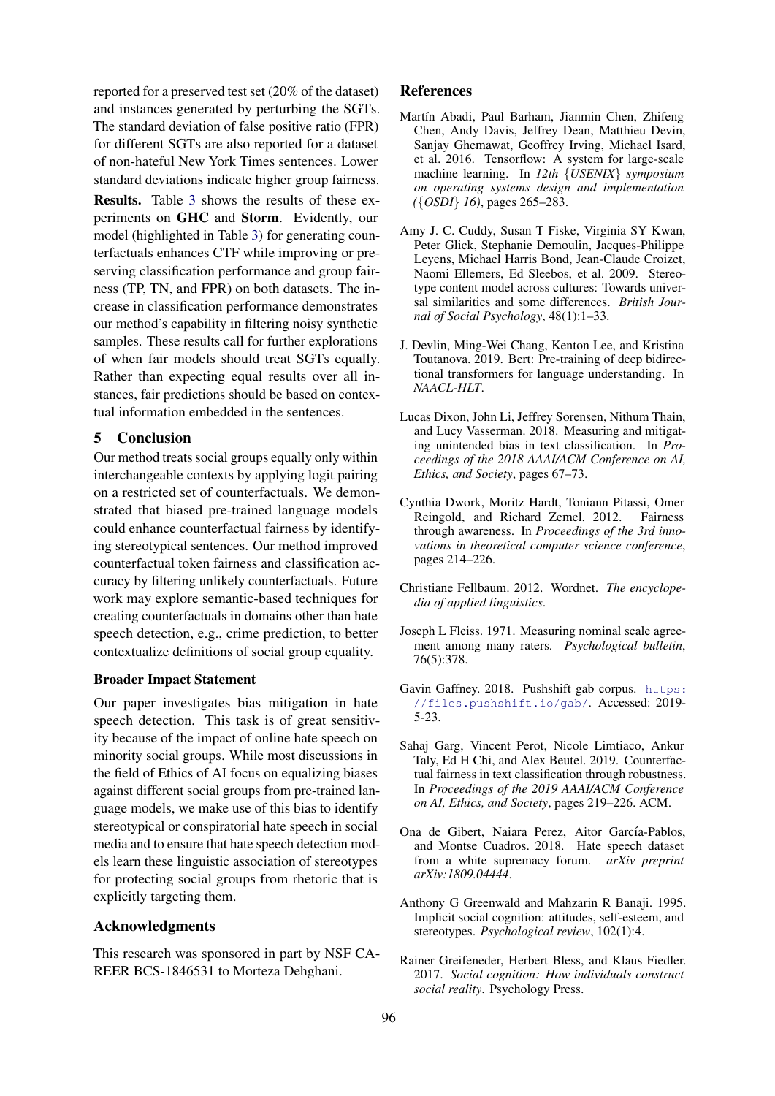reported for a preserved test set (20% of the dataset) and instances generated by perturbing the SGTs. The standard deviation of false positive ratio (FPR) for different SGTs are also reported for a dataset of non-hateful New York Times sentences. Lower standard deviations indicate higher group fairness.

Results. Table [3](#page-3-1) shows the results of these experiments on GHC and Storm. Evidently, our model (highlighted in Table [3\)](#page-3-1) for generating counterfactuals enhances CTF while improving or preserving classification performance and group fairness (TP, TN, and FPR) on both datasets. The increase in classification performance demonstrates our method's capability in filtering noisy synthetic samples. These results call for further explorations of when fair models should treat SGTs equally. Rather than expecting equal results over all instances, fair predictions should be based on contextual information embedded in the sentences.

## 5 Conclusion

Our method treats social groups equally only within interchangeable contexts by applying logit pairing on a restricted set of counterfactuals. We demonstrated that biased pre-trained language models could enhance counterfactual fairness by identifying stereotypical sentences. Our method improved counterfactual token fairness and classification accuracy by filtering unlikely counterfactuals. Future work may explore semantic-based techniques for creating counterfactuals in domains other than hate speech detection, e.g., crime prediction, to better contextualize definitions of social group equality.

#### Broader Impact Statement

Our paper investigates bias mitigation in hate speech detection. This task is of great sensitivity because of the impact of online hate speech on minority social groups. While most discussions in the field of Ethics of AI focus on equalizing biases against different social groups from pre-trained language models, we make use of this bias to identify stereotypical or conspiratorial hate speech in social media and to ensure that hate speech detection models learn these linguistic association of stereotypes for protecting social groups from rhetoric that is explicitly targeting them.

## Acknowledgments

This research was sponsored in part by NSF CA-REER BCS-1846531 to Morteza Dehghani.

## References

- <span id="page-4-8"></span>Martín Abadi, Paul Barham, Jianmin Chen, Zhifeng Chen, Andy Davis, Jeffrey Dean, Matthieu Devin, Sanjay Ghemawat, Geoffrey Irving, Michael Isard, et al. 2016. Tensorflow: A system for large-scale machine learning. In *12th* {*USENIX*} *symposium on operating systems design and implementation (*{*OSDI*} *16)*, pages 265–283.
- <span id="page-4-9"></span>Amy J. C. Cuddy, Susan T Fiske, Virginia SY Kwan, Peter Glick, Stephanie Demoulin, Jacques-Philippe Leyens, Michael Harris Bond, Jean-Claude Croizet, Naomi Ellemers, Ed Sleebos, et al. 2009. Stereotype content model across cultures: Towards universal similarities and some differences. *British Journal of Social Psychology*, 48(1):1–33.
- <span id="page-4-6"></span>J. Devlin, Ming-Wei Chang, Kenton Lee, and Kristina Toutanova. 2019. Bert: Pre-training of deep bidirectional transformers for language understanding. In *NAACL-HLT*.
- <span id="page-4-0"></span>Lucas Dixon, John Li, Jeffrey Sorensen, Nithum Thain, and Lucy Vasserman. 2018. Measuring and mitigating unintended bias in text classification. In *Proceedings of the 2018 AAAI/ACM Conference on AI, Ethics, and Society*, pages 67–73.
- <span id="page-4-1"></span>Cynthia Dwork, Moritz Hardt, Toniann Pitassi, Omer Reingold, and Richard Zemel. 2012. Fairness through awareness. In *Proceedings of the 3rd innovations in theoretical computer science conference*, pages 214–226.
- <span id="page-4-4"></span>Christiane Fellbaum. 2012. Wordnet. *The encyclopedia of applied linguistics*.
- <span id="page-4-3"></span>Joseph L Fleiss. 1971. Measuring nominal scale agreement among many raters. *Psychological bulletin*, 76(5):378.
- <span id="page-4-5"></span>Gavin Gaffney. 2018. Pushshift gab corpus. [https:](https://files.pushshift.io/gab/) [//files.pushshift.io/gab/](https://files.pushshift.io/gab/). Accessed: 2019- 5-23.
- <span id="page-4-2"></span>Sahaj Garg, Vincent Perot, Nicole Limtiaco, Ankur Taly, Ed H Chi, and Alex Beutel. 2019. Counterfactual fairness in text classification through robustness. In *Proceedings of the 2019 AAAI/ACM Conference on AI, Ethics, and Society*, pages 219–226. ACM.
- <span id="page-4-7"></span>Ona de Gibert, Naiara Perez, Aitor García-Pablos, and Montse Cuadros. 2018. Hate speech dataset from a white supremacy forum. *arXiv preprint arXiv:1809.04444*.
- <span id="page-4-11"></span>Anthony G Greenwald and Mahzarin R Banaji. 1995. Implicit social cognition: attitudes, self-esteem, and stereotypes. *Psychological review*, 102(1):4.
- <span id="page-4-10"></span>Rainer Greifeneder, Herbert Bless, and Klaus Fiedler. 2017. *Social cognition: How individuals construct social reality*. Psychology Press.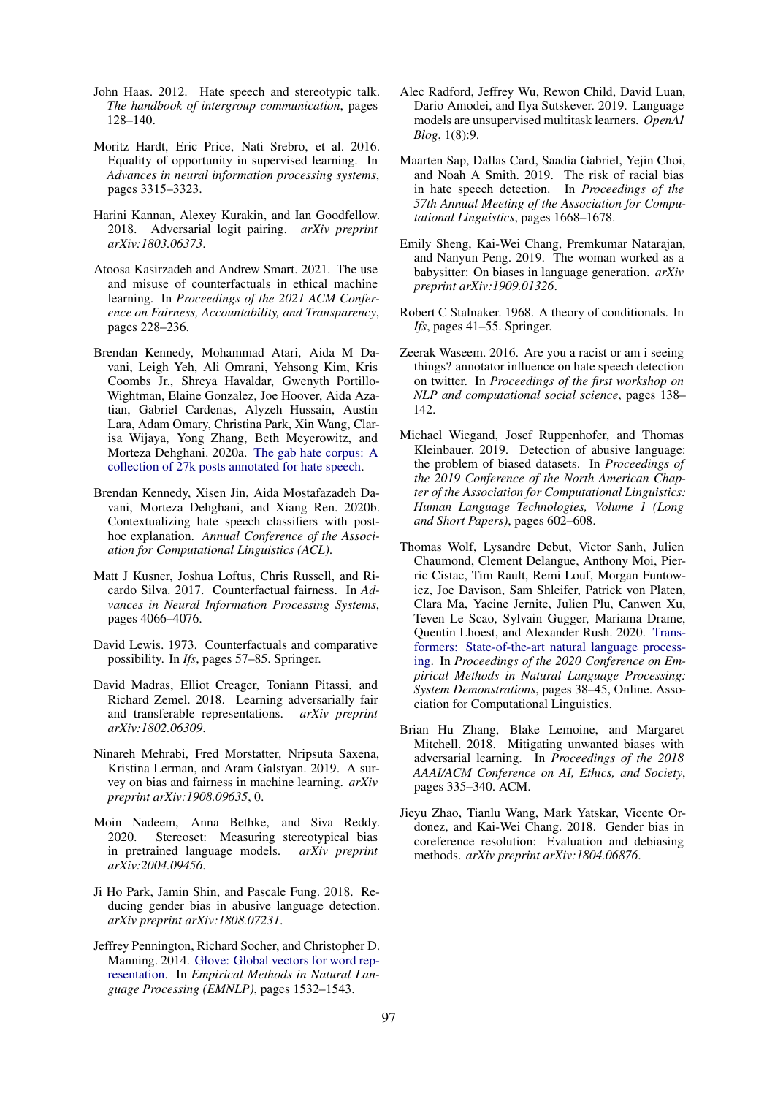- <span id="page-5-15"></span>John Haas. 2012. Hate speech and stereotypic talk. *The handbook of intergroup communication*, pages 128–140.
- <span id="page-5-2"></span>Moritz Hardt, Eric Price, Nati Srebro, et al. 2016. Equality of opportunity in supervised learning. In *Advances in neural information processing systems*, pages 3315–3323.
- <span id="page-5-9"></span>Harini Kannan, Alexey Kurakin, and Ian Goodfellow. 2018. Adversarial logit pairing. *arXiv preprint arXiv:1803.06373*.
- <span id="page-5-6"></span>Atoosa Kasirzadeh and Andrew Smart. 2021. The use and misuse of counterfactuals in ethical machine learning. In *Proceedings of the 2021 ACM Conference on Fairness, Accountability, and Transparency*, pages 228–236.
- <span id="page-5-20"></span>Brendan Kennedy, Mohammad Atari, Aida M Davani, Leigh Yeh, Ali Omrani, Yehsong Kim, Kris Coombs Jr., Shreya Havaldar, Gwenyth Portillo-Wightman, Elaine Gonzalez, Joe Hoover, Aida Azatian, Gabriel Cardenas, Alyzeh Hussain, Austin Lara, Adam Omary, Christina Park, Xin Wang, Clarisa Wijaya, Yong Zhang, Beth Meyerowitz, and Morteza Dehghani. 2020a. [The gab hate corpus: A](https://doi.org/10.31234/osf.io/hqjxn) [collection of 27k posts annotated for hate speech.](https://doi.org/10.31234/osf.io/hqjxn)
- <span id="page-5-12"></span>Brendan Kennedy, Xisen Jin, Aida Mostafazadeh Davani, Morteza Dehghani, and Xiang Ren. 2020b. Contextualizing hate speech classifiers with posthoc explanation. *Annual Conference of the Association for Computational Linguistics (ACL)*.
- <span id="page-5-3"></span>Matt J Kusner, Joshua Loftus, Chris Russell, and Ricardo Silva. 2017. Counterfactual fairness. In *Advances in Neural Information Processing Systems*, pages 4066–4076.
- <span id="page-5-5"></span>David Lewis. 1973. Counterfactuals and comparative possibility. In *Ifs*, pages 57–85. Springer.
- <span id="page-5-13"></span>David Madras, Elliot Creager, Toniann Pitassi, and Richard Zemel. 2018. Learning adversarially fair and transferable representations. *arXiv preprint arXiv:1802.06309*.
- <span id="page-5-1"></span>Ninareh Mehrabi, Fred Morstatter, Nripsuta Saxena, Kristina Lerman, and Aram Galstyan. 2019. A survey on bias and fairness in machine learning. *arXiv preprint arXiv:1908.09635*, 0.
- <span id="page-5-8"></span>Moin Nadeem, Anna Bethke, and Siva Reddy. 2020. Stereoset: Measuring stereotypical bias in pretrained language models. *arXiv preprint arXiv:2004.09456*.
- <span id="page-5-11"></span>Ji Ho Park, Jamin Shin, and Pascale Fung. 2018. Reducing gender bias in abusive language detection. *arXiv preprint arXiv:1808.07231*.
- <span id="page-5-19"></span>Jeffrey Pennington, Richard Socher, and Christopher D. Manning. 2014. [Glove: Global vectors for word rep](http://www.aclweb.org/anthology/D14-1162)[resentation.](http://www.aclweb.org/anthology/D14-1162) In *Empirical Methods in Natural Language Processing (EMNLP)*, pages 1532–1543.
- <span id="page-5-16"></span>Alec Radford, Jeffrey Wu, Rewon Child, David Luan, Dario Amodei, and Ilya Sutskever. 2019. Language models are unsupervised multitask learners. *OpenAI Blog*, 1(8):9.
- <span id="page-5-18"></span>Maarten Sap, Dallas Card, Saadia Gabriel, Yejin Choi, and Noah A Smith. 2019. The risk of racial bias in hate speech detection. In *Proceedings of the 57th Annual Meeting of the Association for Computational Linguistics*, pages 1668–1678.
- <span id="page-5-7"></span>Emily Sheng, Kai-Wei Chang, Premkumar Natarajan, and Nanyun Peng. 2019. The woman worked as a babysitter: On biases in language generation. *arXiv preprint arXiv:1909.01326*.
- <span id="page-5-4"></span>Robert C Stalnaker. 1968. A theory of conditionals. In *Ifs*, pages 41–55. Springer.
- <span id="page-5-17"></span>Zeerak Waseem. 2016. Are you a racist or am i seeing things? annotator influence on hate speech detection on twitter. In *Proceedings of the first workshop on NLP and computational social science*, pages 138– 142.
- <span id="page-5-0"></span>Michael Wiegand, Josef Ruppenhofer, and Thomas Kleinbauer. 2019. Detection of abusive language: the problem of biased datasets. In *Proceedings of the 2019 Conference of the North American Chapter of the Association for Computational Linguistics: Human Language Technologies, Volume 1 (Long and Short Papers)*, pages 602–608.
- <span id="page-5-21"></span>Thomas Wolf, Lysandre Debut, Victor Sanh, Julien Chaumond, Clement Delangue, Anthony Moi, Pierric Cistac, Tim Rault, Remi Louf, Morgan Funtowicz, Joe Davison, Sam Shleifer, Patrick von Platen, Clara Ma, Yacine Jernite, Julien Plu, Canwen Xu, Teven Le Scao, Sylvain Gugger, Mariama Drame, Quentin Lhoest, and Alexander Rush. 2020. [Trans](https://doi.org/10.18653/v1/2020.emnlp-demos.6)[formers: State-of-the-art natural language process](https://doi.org/10.18653/v1/2020.emnlp-demos.6)[ing.](https://doi.org/10.18653/v1/2020.emnlp-demos.6) In *Proceedings of the 2020 Conference on Empirical Methods in Natural Language Processing: System Demonstrations*, pages 38–45, Online. Association for Computational Linguistics.
- <span id="page-5-14"></span>Brian Hu Zhang, Blake Lemoine, and Margaret Mitchell. 2018. Mitigating unwanted biases with adversarial learning. In *Proceedings of the 2018 AAAI/ACM Conference on AI, Ethics, and Society*, pages 335–340. ACM.
- <span id="page-5-10"></span>Jieyu Zhao, Tianlu Wang, Mark Yatskar, Vicente Ordonez, and Kai-Wei Chang. 2018. Gender bias in coreference resolution: Evaluation and debiasing methods. *arXiv preprint arXiv:1804.06876*.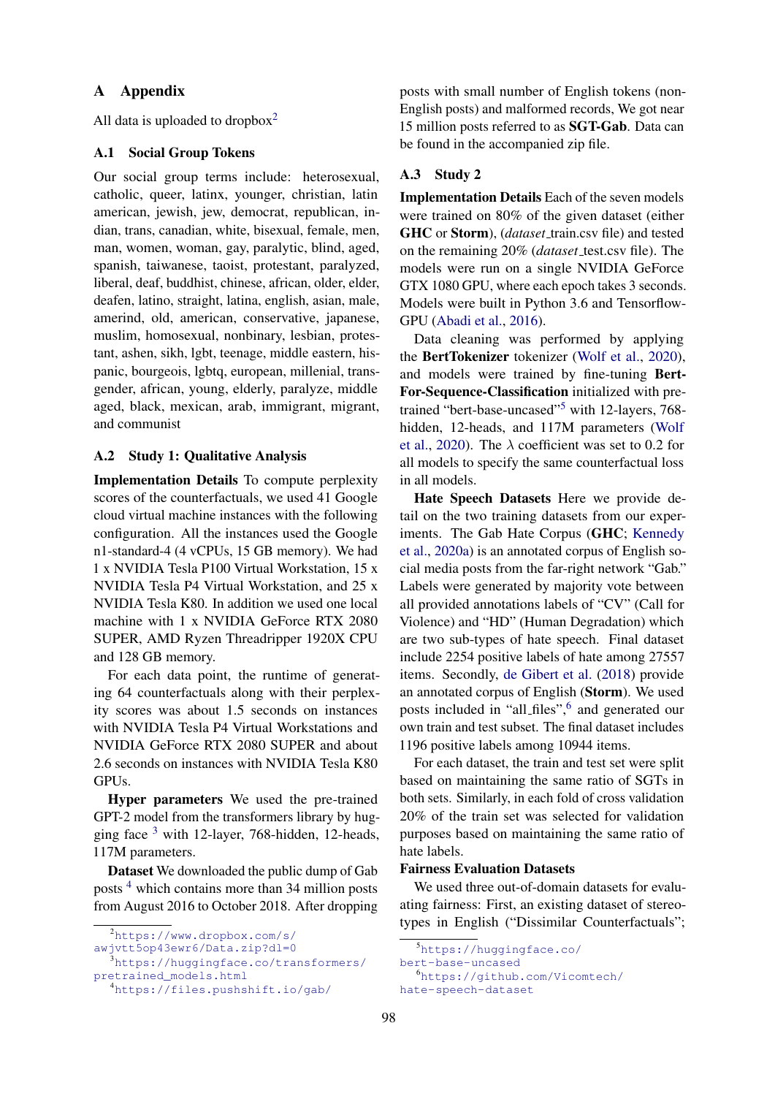## A Appendix

All data is uploaded to dropbox $2$ 

#### <span id="page-6-5"></span>A.1 Social Group Tokens

Our social group terms include: heterosexual, catholic, queer, latinx, younger, christian, latin american, jewish, jew, democrat, republican, indian, trans, canadian, white, bisexual, female, men, man, women, woman, gay, paralytic, blind, aged, spanish, taiwanese, taoist, protestant, paralyzed, liberal, deaf, buddhist, chinese, african, older, elder, deafen, latino, straight, latina, english, asian, male, amerind, old, american, conservative, japanese, muslim, homosexual, nonbinary, lesbian, protestant, ashen, sikh, lgbt, teenage, middle eastern, hispanic, bourgeois, lgbtq, european, millenial, transgender, african, young, elderly, paralyze, middle aged, black, mexican, arab, immigrant, migrant, and communist

#### A.2 Study 1: Qualitative Analysis

Implementation Details To compute perplexity scores of the counterfactuals, we used 41 Google cloud virtual machine instances with the following configuration. All the instances used the Google n1-standard-4 (4 vCPUs, 15 GB memory). We had 1 x NVIDIA Tesla P100 Virtual Workstation, 15 x NVIDIA Tesla P4 Virtual Workstation, and 25 x NVIDIA Tesla K80. In addition we used one local machine with 1 x NVIDIA GeForce RTX 2080 SUPER, AMD Ryzen Threadripper 1920X CPU and 128 GB memory.

For each data point, the runtime of generating 64 counterfactuals along with their perplexity scores was about 1.5 seconds on instances with NVIDIA Tesla P4 Virtual Workstations and NVIDIA GeForce RTX 2080 SUPER and about 2.6 seconds on instances with NVIDIA Tesla K80 GPUs.

Hyper parameters We used the pre-trained GPT-2 model from the transformers library by hugging face  $3$  with 12-layer, 768-hidden, 12-heads, 117M parameters.

Dataset We downloaded the public dump of Gab posts [4](#page-6-2) which contains more than 34 million posts from August 2016 to October 2018. After dropping posts with small number of English tokens (non-English posts) and malformed records, We got near 15 million posts referred to as SGT-Gab. Data can be found in the accompanied zip file.

#### A.3 Study 2

Implementation Details Each of the seven models were trained on 80% of the given dataset (either GHC or Storm), (*dataset\_train.csv* file) and tested on the remaining 20% (*dataset* test.csv file). The models were run on a single NVIDIA GeForce GTX 1080 GPU, where each epoch takes 3 seconds. Models were built in Python 3.6 and Tensorflow-GPU [\(Abadi et al.,](#page-4-8) [2016\)](#page-4-8).

Data cleaning was performed by applying the BertTokenizer tokenizer [\(Wolf et al.,](#page-5-21) [2020\)](#page-5-21), and models were trained by fine-tuning Bert-For-Sequence-Classification initialized with pretrained "bert-base-uncased"[5](#page-6-3) with 12-layers, 768 hidden, 12-heads, and 117M parameters [\(Wolf](#page-5-21) [et al.,](#page-5-21) [2020\)](#page-5-21). The  $\lambda$  coefficient was set to 0.2 for all models to specify the same counterfactual loss in all models.

Hate Speech Datasets Here we provide detail on the two training datasets from our experiments. The Gab Hate Corpus (GHC; [Kennedy](#page-5-20) [et al.,](#page-5-20) [2020a\)](#page-5-20) is an annotated corpus of English social media posts from the far-right network "Gab." Labels were generated by majority vote between all provided annotations labels of "CV" (Call for Violence) and "HD" (Human Degradation) which are two sub-types of hate speech. Final dataset include 2254 positive labels of hate among 27557 items. Secondly, [de Gibert et al.](#page-4-7) [\(2018\)](#page-4-7) provide an annotated corpus of English (Storm). We used posts included in "all\_files",<sup>[6](#page-6-4)</sup> and generated our own train and test subset. The final dataset includes 1196 positive labels among 10944 items.

For each dataset, the train and test set were split based on maintaining the same ratio of SGTs in both sets. Similarly, in each fold of cross validation 20% of the train set was selected for validation purposes based on maintaining the same ratio of hate labels.

#### Fairness Evaluation Datasets

We used three out-of-domain datasets for evaluating fairness: First, an existing dataset of stereotypes in English ("Dissimilar Counterfactuals";

<span id="page-6-0"></span><sup>2</sup>[https://www.dropbox.com/s/](https://www.dropbox.com/s/awjvtt5op43ewr6/Data.zip?dl=0) [awjvtt5op43ewr6/Data.zip?dl=0](https://www.dropbox.com/s/awjvtt5op43ewr6/Data.zip?dl=0)

<span id="page-6-1"></span>

<sup>3</sup>[https://huggingface.co/transformers/](https://huggingface.co/transformers/pretrained_models.html) [pretrained\\_models.html](https://huggingface.co/transformers/pretrained_models.html)

<span id="page-6-2"></span><sup>4</sup><https://files.pushshift.io/gab/>

<span id="page-6-3"></span><sup>5</sup>[https://huggingface.co/](https://huggingface.co/bert-base-uncased)

[bert-base-uncased](https://huggingface.co/bert-base-uncased)

<span id="page-6-4"></span><sup>6</sup>[https://github.com/Vicomtech/](https://github.com/Vicomtech/hate-speech-dataset) [hate-speech-dataset](https://github.com/Vicomtech/hate-speech-dataset)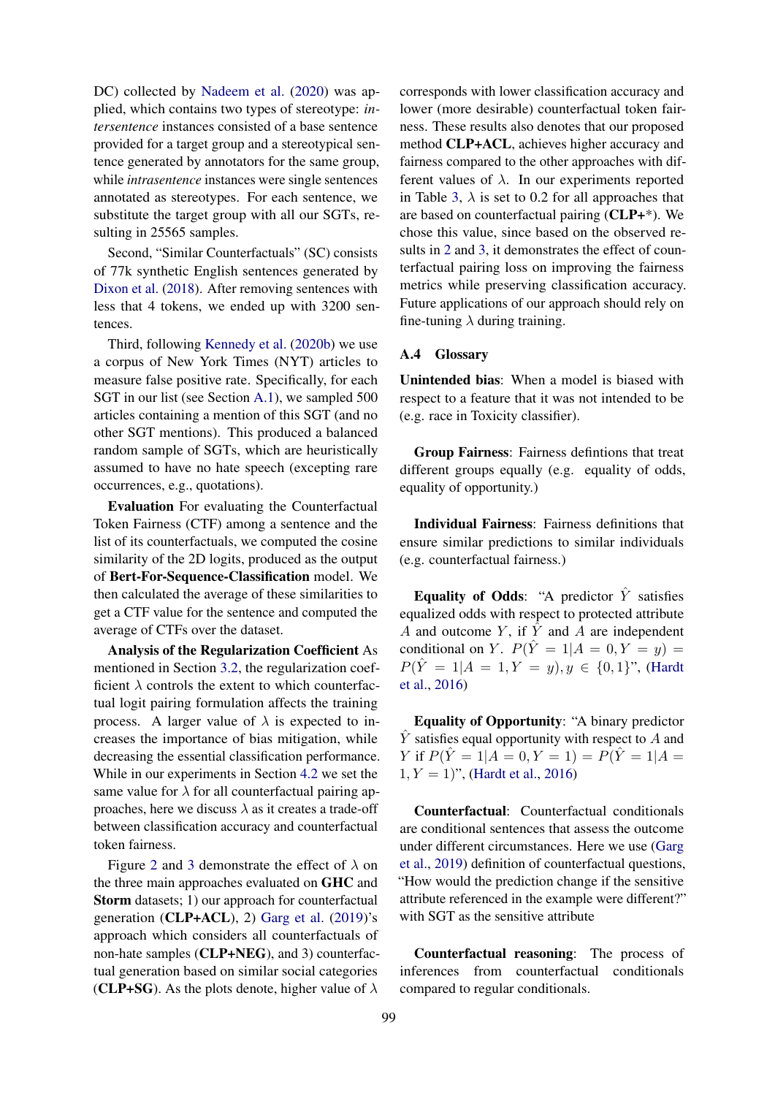DC) collected by [Nadeem et al.](#page-5-8) [\(2020\)](#page-5-8) was applied, which contains two types of stereotype: *intersentence* instances consisted of a base sentence provided for a target group and a stereotypical sentence generated by annotators for the same group, while *intrasentence* instances were single sentences annotated as stereotypes. For each sentence, we substitute the target group with all our SGTs, resulting in 25565 samples.

Second, "Similar Counterfactuals" (SC) consists of 77k synthetic English sentences generated by [Dixon et al.](#page-4-0) [\(2018\)](#page-4-0). After removing sentences with less that 4 tokens, we ended up with 3200 sentences.

Third, following [Kennedy et al.](#page-5-12) [\(2020b\)](#page-5-12) we use a corpus of New York Times (NYT) articles to measure false positive rate. Specifically, for each SGT in our list (see Section [A.1\)](#page-6-5), we sampled 500 articles containing a mention of this SGT (and no other SGT mentions). This produced a balanced random sample of SGTs, which are heuristically assumed to have no hate speech (excepting rare occurrences, e.g., quotations).

Evaluation For evaluating the Counterfactual Token Fairness (CTF) among a sentence and the list of its counterfactuals, we computed the cosine similarity of the 2D logits, produced as the output of Bert-For-Sequence-Classification model. We then calculated the average of these similarities to get a CTF value for the sentence and computed the average of CTFs over the dataset.

Analysis of the Regularization Coefficient As mentioned in Section [3.2,](#page-1-1) the regularization coefficient  $\lambda$  controls the extent to which counterfactual logit pairing formulation affects the training process. A larger value of  $\lambda$  is expected to increases the importance of bias mitigation, while decreasing the essential classification performance. While in our experiments in Section [4.2](#page-3-2) we set the same value for  $\lambda$  for all counterfactual pairing approaches, here we discuss  $\lambda$  as it creates a trade-off between classification accuracy and counterfactual token fairness.

Figure [2](#page-9-0) and [3](#page-9-1) demonstrate the effect of  $\lambda$  on the three main approaches evaluated on GHC and Storm datasets; 1) our approach for counterfactual generation (CLP+ACL), 2) [Garg et al.](#page-4-2) [\(2019\)](#page-4-2)'s approach which considers all counterfactuals of non-hate samples (CLP+NEG), and 3) counterfactual generation based on similar social categories (CLP+SG). As the plots denote, higher value of  $\lambda$ 

corresponds with lower classification accuracy and lower (more desirable) counterfactual token fairness. These results also denotes that our proposed method CLP+ACL, achieves higher accuracy and fairness compared to the other approaches with different values of  $\lambda$ . In our experiments reported in Table [3,](#page-3-1)  $\lambda$  is set to 0.2 for all approaches that are based on counterfactual pairing (CLP+\*). We chose this value, since based on the observed results in [2](#page-9-0) and [3,](#page-9-1) it demonstrates the effect of counterfactual pairing loss on improving the fairness metrics while preserving classification accuracy. Future applications of our approach should rely on fine-tuning  $\lambda$  during training.

#### A.4 Glossary

Unintended bias: When a model is biased with respect to a feature that it was not intended to be (e.g. race in Toxicity classifier).

Group Fairness: Fairness defintions that treat different groups equally (e.g. equality of odds, equality of opportunity.)

Individual Fairness: Fairness definitions that ensure similar predictions to similar individuals (e.g. counterfactual fairness.)

Equality of Odds: "A predictor  $\hat{Y}$  satisfies equalized odds with respect to protected attribute A and outcome  $Y$ , if  $\overline{Y}$  and A are independent conditional on Y.  $P(\hat{Y} = 1 | A = 0, Y = y) =$  $P(\hat{Y} = 1 | A = 1, Y = y), y \in \{0, 1\}$ ", [\(Hardt](#page-5-2) [et al.,](#page-5-2) [2016\)](#page-5-2)

Equality of Opportunity: "A binary predictor  $\hat{Y}$  satisfies equal opportunity with respect to A and Y if  $P(Y = 1 | A = 0, Y = 1) = P(Y = 1 | A = 1)$  $1, Y = 1$ ", [\(Hardt et al.,](#page-5-2) [2016\)](#page-5-2)

Counterfactual: Counterfactual conditionals are conditional sentences that assess the outcome under different circumstances. Here we use [\(Garg](#page-4-2) [et al.,](#page-4-2) [2019\)](#page-4-2) definition of counterfactual questions, "How would the prediction change if the sensitive attribute referenced in the example were different?" with SGT as the sensitive attribute

Counterfactual reasoning: The process of inferences from counterfactual conditionals compared to regular conditionals.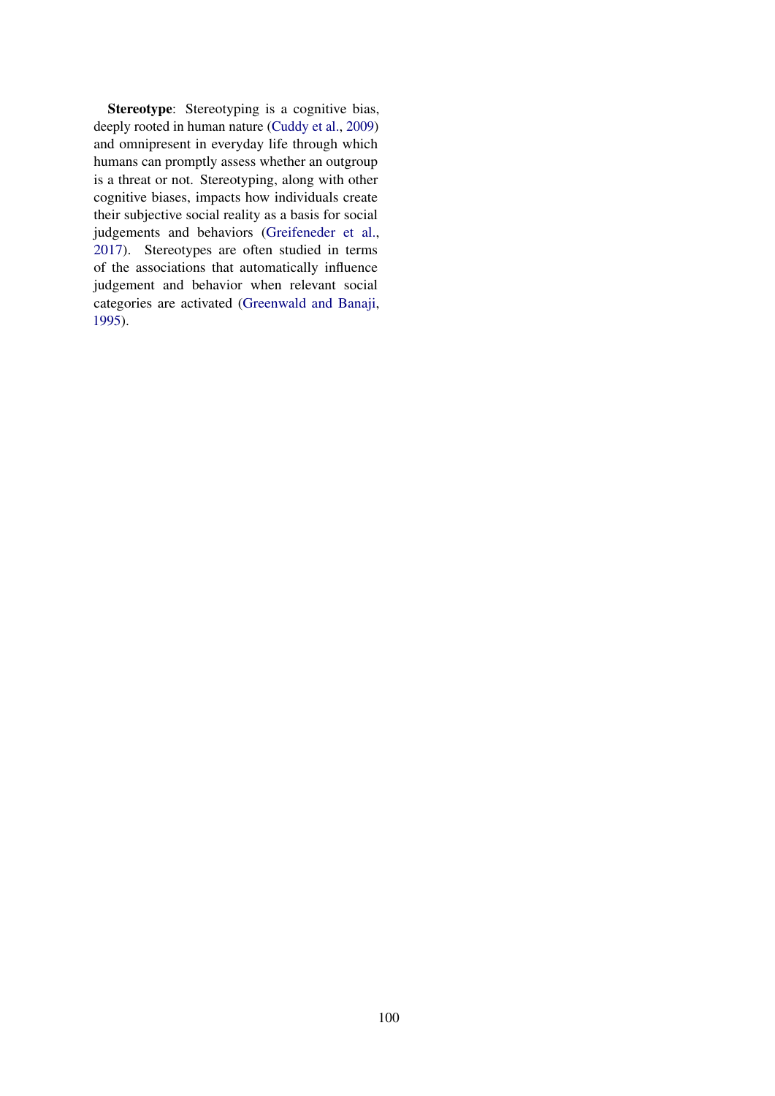Stereotype: Stereotyping is a cognitive bias, deeply rooted in human nature [\(Cuddy et al.,](#page-4-9) [2009\)](#page-4-9) and omnipresent in everyday life through which humans can promptly assess whether an outgroup is a threat or not. Stereotyping, along with other cognitive biases, impacts how individuals create their subjective social reality as a basis for social judgements and behaviors [\(Greifeneder et al.,](#page-4-10) [2017\)](#page-4-10). Stereotypes are often studied in terms of the associations that automatically influence judgement and behavior when relevant social categories are activated [\(Greenwald and Banaji,](#page-4-11) [1995\)](#page-4-11).